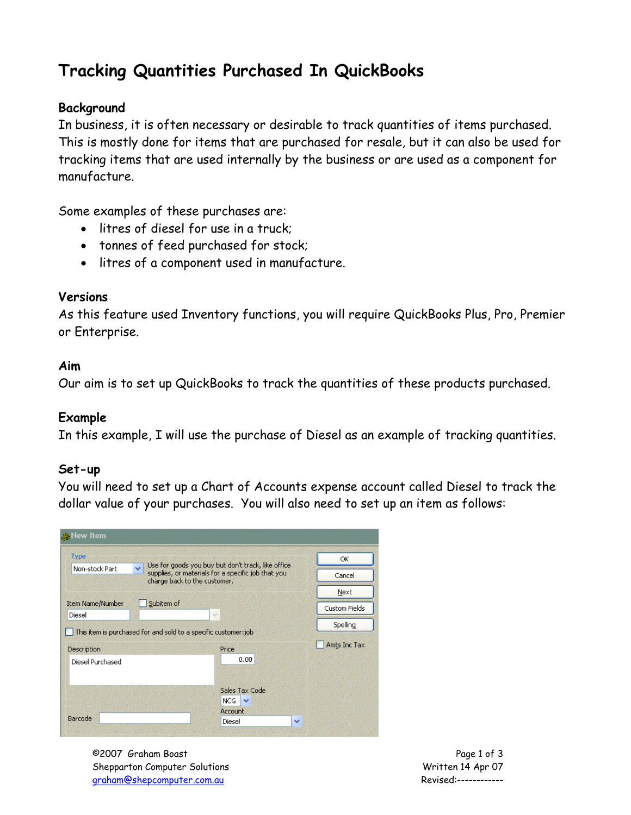# **Tracking Quantities Purchased In QuickBooks**

## **Background**

In business, it is often necessary or desirable to track quantities of items purchased. This is mostly done for items that are purchased for resale, but it can also be used for tracking items that are used internally by the business or are used as a component for manufacture.

Some examples of these purchases are:

- litres of diesel for use in a truck;
- tonnes of feed purchased for stock;
- litres of a component used in manufacture.

## **Versions**

As this feature used Inventory functions, you will require QuickBooks Plus, Pro, Premier or Enterprise.

#### **Aim**

Our aim is to set up QuickBooks to track the quantities of these products purchased.

## **Example**

In this example, I will use the purchase of Diesel as an example of tracking quantities.

## **Set-up**

You will need to set up a Chart of Accounts expense account called Diesel to track the dollar value of your purchases. You will also need to set up an item as follows:

| Type                              |                                                                | Use for goods you buy but don't track, like office                                 |              | <b>OK</b>            |
|-----------------------------------|----------------------------------------------------------------|------------------------------------------------------------------------------------|--------------|----------------------|
| Non-stock Part                    | $\ddot{\phantom{1}}$                                           | supplies, or materials for a specific job that you<br>charge back to the customer. |              |                      |
|                                   |                                                                | Next                                                                               |              |                      |
| <b>Item Name/Number</b><br>Diesel | Subitem of<br>$\mathcal{A}$                                    |                                                                                    |              | <b>Custom Fields</b> |
|                                   | This item is purchased for and sold to a specific customer:job |                                                                                    |              | Spelling             |
| Description                       |                                                                | Price                                                                              |              | Amts Inc Tax         |
| Diesel Purchased                  |                                                                | 0.00                                                                               |              |                      |
|                                   |                                                                |                                                                                    |              |                      |
|                                   |                                                                | Sales Tax Code                                                                     |              |                      |
|                                   |                                                                | NCG.<br>$\checkmark$                                                               |              |                      |
|                                   |                                                                | Account                                                                            |              |                      |
| Barcode                           |                                                                | Diesel                                                                             | $\checkmark$ |                      |

©2007 Graham Boast Page 1 of 3 Shepparton Computer Solutions and the Computer Solutions of the Computer Solutions of the Computer Solutions of the Computer Solutions of the Computer Solutions of the Computer Solutions of the Computer Solutions of the Co graham@shepcomputer.com.au Revised:------------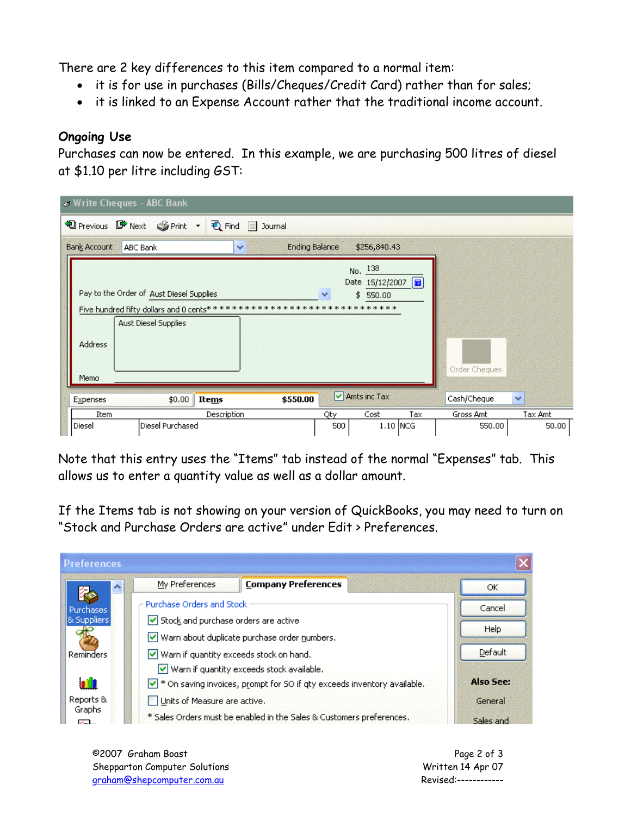There are 2 key differences to this item compared to a normal item:

- it is for use in purchases (Bills/Cheques/Credit Card) rather than for sales;
- it is linked to an Expense Account rather that the traditional income account.

## **Ongoing Use**

Purchases can now be entered. In this example, we are purchasing 500 litres of diesel at \$1.10 per litre including GST:

|                        | Write Cheques - ABC Bank                                                                                                                  |                                       |            |                                                |     |                     |                  |
|------------------------|-------------------------------------------------------------------------------------------------------------------------------------------|---------------------------------------|------------|------------------------------------------------|-----|---------------------|------------------|
|                        | <b>D</b> Previous ■ Next Sprint ▼ De Find ■ Journal                                                                                       |                                       |            |                                                |     |                     |                  |
| <b>Bank Account</b>    | <b>ABC Bank</b>                                                                                                                           | <b>Ending Balance</b><br>$\checkmark$ |            | \$256,840.43                                   |     |                     |                  |
| <b>Address</b><br>Memo | Pay to the Order of Aust Diesel Supplies<br>Five hundred fifty dollars and 0 cents*******************************<br>Aust Diesel Supplies |                                       |            | No. 138<br>Date 15/12/2007        <br>\$550.00 |     | Order Cheques       |                  |
| Expenses               | \$0.00<br>Items                                                                                                                           | \$550.00                              |            | $\triangledown$ Amts inc Tax                   |     | Cash/Cheque         | $\checkmark$     |
| Item<br>Diesel         | Description<br>Diesel Purchased                                                                                                           |                                       | Qty<br>500 | Cost<br>$1.10$ NCG                             | Tax | Gross Amt<br>550.00 | Tax Amt<br>50.00 |

Note that this entry uses the "Items" tab instead of the normal "Expenses" tab. This allows us to enter a quantity value as well as a dollar amount.

If the Items tab is not showing on your version of QuickBooks, you may need to turn on "Stock and Purchase Orders are active" under Edit > Preferences.

| <b>Preferences</b> |                                                                                      |                                                                           |                  |
|--------------------|--------------------------------------------------------------------------------------|---------------------------------------------------------------------------|------------------|
| $\blacktriangle$   | My Preferences                                                                       | <b>Company Preferences</b>                                                | OK               |
| <b>Purchases</b>   | Purchase Orders and Stock                                                            |                                                                           | Cancel           |
| & Suppliers        | Stock and purchase orders are active                                                 |                                                                           | Help             |
|                    |                                                                                      | Warn about duplicate purchase order numbers.                              |                  |
| Reminders          | Warn if quantity exceeds stock on hand.<br>Warn if quantity exceeds stock available. | Default                                                                   |                  |
| nl                 |                                                                                      | √ * On saving invoices, prompt for SO if qty exceeds inventory available. | <b>Also See:</b> |
| Reports &          | Units of Measure are active.                                                         |                                                                           | General          |
| Graphs<br>╭        |                                                                                      | * Sales Orders must be enabled in the Sales & Customers preferences.      | Sales and        |

©2007 Graham Boast Page 2 of 3 Shepparton Computer Solutions and the state of the Milton Written 14 Apr 07 graham@shepcomputer.com.au Revised:------------